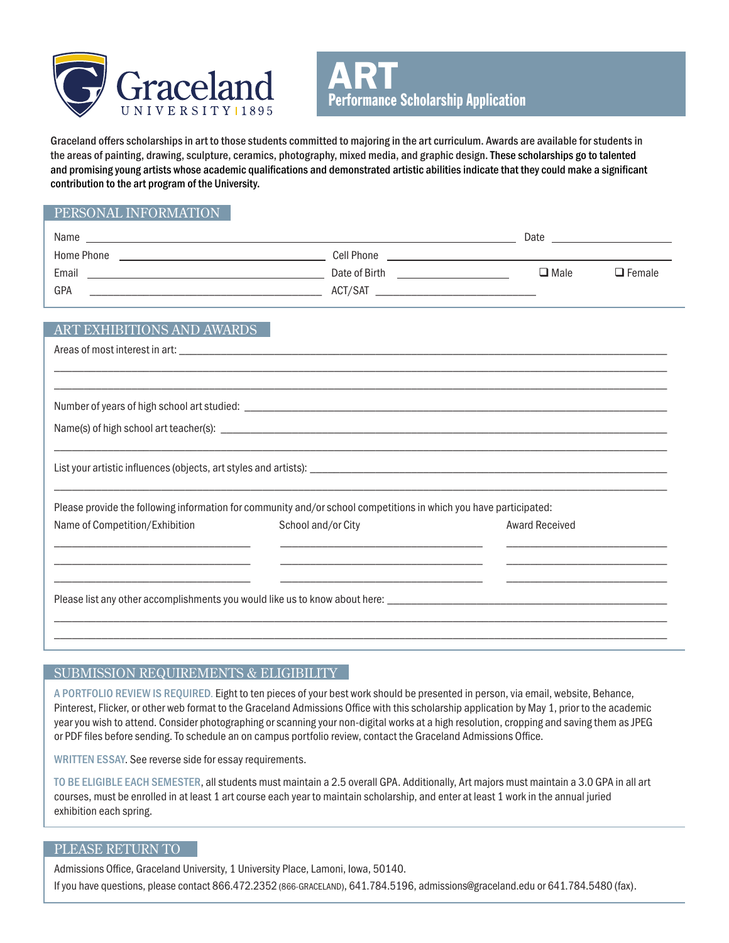



Graceland offers scholarships in art to those students committed to majoring in the art curriculum. Awards are available for students in the areas of painting, drawing, sculpture, ceramics, photography, mixed media, and graphic design. These scholarships go to talented and promising young artists whose academic qualifications and demonstrated artistic abilities indicate that they could make a significant contribution to the art program of the University.

# PERSONAL INFORMATION

| Name       |               | Date        |               |
|------------|---------------|-------------|---------------|
| Home Phone | Cell Phone    |             |               |
| Email      | Date of Birth | $\Box$ Male | $\Box$ Female |
| GPA        | ACT/SAT       |             |               |

\_\_\_\_\_\_\_\_\_\_\_\_\_\_\_\_\_\_\_\_\_\_\_\_\_\_\_\_\_\_\_\_\_\_\_\_\_\_\_\_\_\_\_\_\_\_\_\_\_\_\_\_\_\_\_\_\_\_\_\_\_\_\_\_\_\_\_\_\_\_\_\_\_\_\_\_\_\_\_\_\_\_\_\_\_\_\_\_\_\_\_\_\_\_\_\_\_\_\_\_\_\_\_ \_\_\_\_\_\_\_\_\_\_\_\_\_\_\_\_\_\_\_\_\_\_\_\_\_\_\_\_\_\_\_\_\_\_\_\_\_\_\_\_\_\_\_\_\_\_\_\_\_\_\_\_\_\_\_\_\_\_\_\_\_\_\_\_\_\_\_\_\_\_\_\_\_\_\_\_\_\_\_\_\_\_\_\_\_\_\_\_\_\_\_\_\_\_\_\_\_\_\_\_\_\_\_

## ART EXHIBITIONS AND AWARDS

Areas of most interest in art: \_\_\_\_\_\_\_\_\_\_\_\_\_\_\_\_\_\_\_\_\_\_\_\_\_\_\_\_\_\_\_\_\_\_\_\_\_\_\_\_\_\_\_\_\_\_\_\_\_\_\_\_\_\_\_\_\_\_\_\_\_\_\_\_\_\_\_\_\_\_\_\_\_\_\_\_\_\_\_\_\_\_

| Number of years of high school art studied: |  |
|---------------------------------------------|--|
|                                             |  |

Name(s) of high school art teacher(s):

List your artistic influences (objects, art styles and artists): \_\_\_\_\_\_\_\_\_\_\_\_\_\_\_\_\_\_\_\_\_\_\_\_\_\_\_\_\_\_\_\_\_\_\_\_\_\_\_\_\_\_\_\_\_\_\_\_\_\_\_\_\_\_\_\_\_\_\_\_

Please provide the following information for community and/or school competitions in which you have participated:

| Name of Competition/Exhibition | School and/or City                                                                                   | Award Received |
|--------------------------------|------------------------------------------------------------------------------------------------------|----------------|
|                                |                                                                                                      |                |
|                                | Please list any other accomplishments you would like us to know about here: ________________________ |                |
|                                |                                                                                                      |                |

\_\_\_\_\_\_\_\_\_\_\_\_\_\_\_\_\_\_\_\_\_\_\_\_\_\_\_\_\_\_\_\_\_\_\_\_\_\_\_\_\_\_\_\_\_\_\_\_\_\_\_\_\_\_\_\_\_\_\_\_\_\_\_\_\_\_\_\_\_\_\_\_\_\_\_\_\_\_\_\_\_\_\_\_\_\_\_\_\_\_\_\_\_\_\_\_\_\_\_\_\_\_\_

## SUBMISSION REQUIREMENTS & ELIGIBILITY

A PORTFOLIO REVIEW IS REQUIRED. Eight to ten pieces of your best work should be presented in person, via email, website, Behance, Pinterest, Flicker, or other web format to the Graceland Admissions Office with this scholarship application by May 1, prior to the academic year you wish to attend. Consider photographing or scanning your non-digital works at a high resolution, cropping and saving them as JPEG or PDF files before sending. To schedule an on campus portfolio review, contact the Graceland Admissions Office.

WRITTEN ESSAY. See reverse side for essay requirements.

TO BE ELIGIBLE EACH SEMESTER, all students must maintain a 2.5 overall GPA. Additionally, Art majors must maintain a 3.0 GPA in all art courses, must be enrolled in at least 1 art course each year to maintain scholarship, and enter at least 1 work in the annual juried exhibition each spring.

### PLEASE RETURN TO

Admissions Office, Graceland University, 1 University Place, Lamoni, Iowa, 50140. If you have questions, please contact 866.472.2352 (866-GRACELAND), 641.784.5196, admissions@graceland.edu or 641.784.5480 (fax).